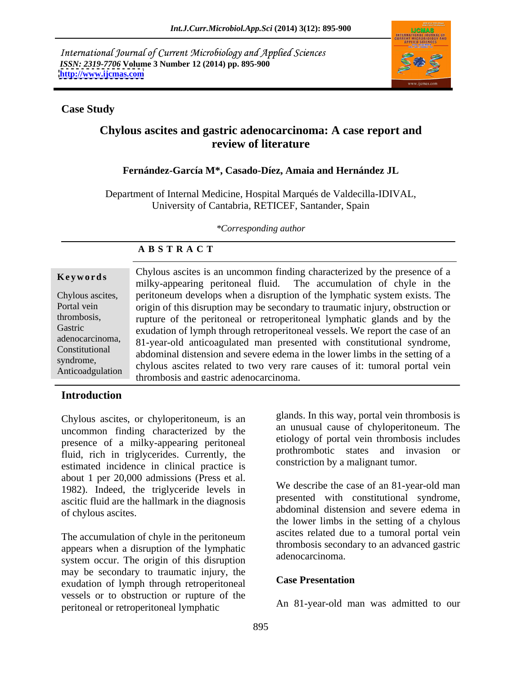International Journal of Current Microbiology and Applied Sciences *ISSN: 2319-7706* **Volume 3 Number 12 (2014) pp. 895-900 <http://www.ijcmas.com>**



#### **Case Study**

# **Chylous ascites and gastric adenocarcinoma: A case report and review of literature**

### **Fernández-García M\*, Casado-Díez, Amaia and Hernández JL**

Department of Internal Medicine, Hospital Marqués de Valdecilla-IDIVAL, University of Cantabria, RETICEF, Santander, Spain

*\*Corresponding author* 

| Keywords         | Chylous ascites is an uncommon finding characterized by the presence of a<br>milky-appearing peritoneal fluid. The accumulation of chyle in the |
|------------------|-------------------------------------------------------------------------------------------------------------------------------------------------|
| Chylous ascites, | peritoneum develops when a disruption of the lymphatic system exists. The                                                                       |
| Portal vein      | origin of this disruption may be secondary to traumatic injury, obstruction or                                                                  |
| thrombosis,      | rupture of the peritoneal or retroperitoneal lymphatic glands and by the                                                                        |
| Gastric          | exudation of lymph through retroperitoneal vessels. We report the case of an                                                                    |
| adenocarcinoma,  | 81-year-old anticoagulated man presented with constitutional syndrome,                                                                          |
| Constitutional   | abdominal distension and severe edema in the lower limbs in the setting of a                                                                    |
| syndrome,        | chylous ascites related to two very rare causes of it: tumoral portal vein                                                                      |
| Anticoadgulation | thrombosis and gastric adenocarcinoma.                                                                                                          |
|                  |                                                                                                                                                 |

# **A B S T R A C T**

## **Introduction**

Chylous ascites, or chyloperitoneum, is an uncommon finding characterized by the presence of a milky-appearing peritoneal fluid, rich in triglycerides. Currently, the estimated incidence in clinical practice is about 1 per 20,000 admissions (Press et al. 1982). Indeed, the triglyceride levels in ascitic fluid are the hallmark in the diagnosis

The accumulation of chyle in the peritoneum appears when a disruption of the lymphatic system occur. The origin of this disruption may be secondary to traumatic injury, the<br>
case Presentation<br>
Case Presentation exudation of lymph through retroperitoneal vessels or to obstruction or rupture of the peritoneal or retroperitoneal lymphatic

glands. In this way, portal vein thrombosis is an unusual cause of chyloperitoneum. The etiology of portal vein thrombosis includes prothrombotic states and invasion or constriction by a malignant tumor.

of chylous ascites. abdominal distension and severe edema in We describe the case of an 81-year-old man presented with constitutional syndrome, the lower limbs in the setting of a chylous ascites related due to a tumoral portal vein thrombosis secondary to an advanced gastric adenocarcinoma.

#### **Case Presentation**

An 81-year-old man was admitted to our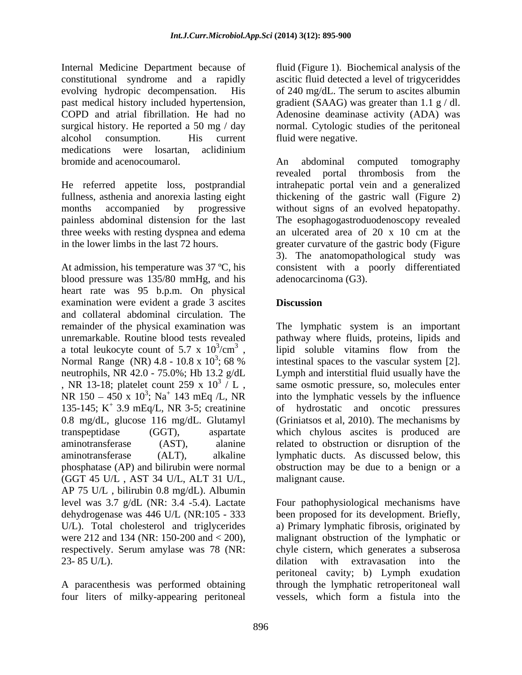Internal Medicine Department because of fluid (Figure 1). Biochemical analysis of the constitutional syndrome and a rapidly ascitic fluid detected a level of trigyceriddes evolving hydropic decompensation. His of 240 mg/dL. The serum to ascites albumin past medical history included hypertension, gradient (SAAG) was greater than 1.1 g / dl. COPD and atrial fibrillation. He had no Adenosine deaminase activity (ADA) was surgical history. He reported a 50 mg / day alcohol consumption. His current fluid were negative. medications were losartan, aclidinium bromide and acenocoumarol. An abdominal computed tomography

three weeks with resting dyspnea and edema and edema and electrated area of 20 x 10 cm at the

At admission, his temperature was 37 °C, his consistent with a poorly differentiated blood pressure was 135/80 mmHg, and his heart rate was 95 b.p.m. On physical examination were evident a grade 3 ascites and collateral abdominal circulation. The (GGT 45 U/L , AST 34 U/L, ALT 31 U/L, AP 75 U/L , bilirubin 0.8 mg/dL). Albumin

four liters of milky-appearing peritoneal vessels, which form a fistula into the

normal. Cytologic studies of the peritoneal fluid were negative.

He referred appetite loss, postprandial intrahepatic portal vein and a generalized fullness, asthenia and anorexia lasting eight thickening of the gastric wall (Figure 2) months accompanied by progressive without signs of an evolved hepatopathy. painless abdominal distension for the last The esophagogastroduodenoscopy revealed in the lower limbs in the last 72 hours. greater curvature of the gastric body (Figure An abdominal computed tomography revealed portal thrombosis from the an ulcerated area of 20 x 10 cm at the 3). The anatomopathological study was adenocarcinoma (G3).

# **Discussion**

remainder of the physical examination was The lymphatic system is an important unremarkable. Routine blood tests revealed pathway where fluids, proteins, lipids and a total leukocyte count of 5.7 x  $10^3$ /cm<sup>3</sup>, lipid soluble vitamins flow from the Normal Range (NR)  $4.8 - 10.8 \times 10^3$ ; 68 % intestinal spaces to the vascular system [2]. neutrophils, NR 42.0 - 75.0%; Hb 13.2 g/dL Lymph and interstitial fluid usually have the , NR 13-18; platelet count 259 x  $10^3$  / L, same osmotic pressure, so, molecules enter NR  $150 - 450 \times 10^3$ ; Na<sup>+</sup> 143 mEq /L, NR into the lymphatic vessels by the influence 135-145; K + 3.9 mEq/L, NR 3-5; creatinine of hydrostatic and oncotic pressures 0.8 mg/dL, glucose 116 mg/dL. Glutamyl (Griniatsos et al, 2010). The mechanisms by transpeptidase (GGT), aspartate which chylous ascites is produced are aminotransferase (AST), alanine related to obstruction or disruption of the aminotransferase (ALT), alkaline lymphatic ducts. As discussed below, this phosphatase (AP) and bilirubin were normal obstruction may be due to a benign or a malignant cause.

level was 3.7 g/dL (NR: 3.4 -5.4). Lactate Four pathophysiological mechanisms have dehydrogenase was 446 U/L (NR:105 - 333 been proposed for its development. Briefly, U/L). Total cholesterol and triglycerides a) Primary lymphatic fibrosis, originated by were 212 and 134 (NR: 150-200 and < 200), malignant obstruction of the lymphatic or respectively. Serum amylase was 78 (NR: chyle cistern, which generates a subserosa 23-85 U/L). dilation with extravasation into the A paracenthesis was performed obtaining through the lymphatic retroperitoneal wall dilation with extravasation into the peritoneal cavity; b) Lymph exudation vessels, which form a fistula into the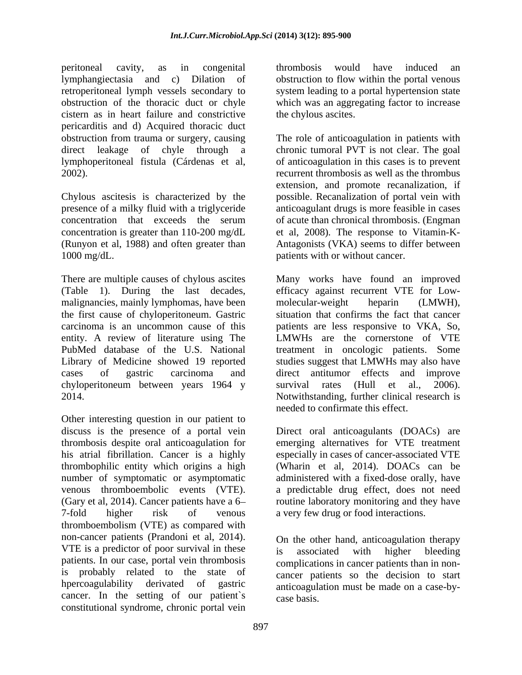peritoneal cavity, as in congenital lymphangiectasia and c) Dilation of retroperitoneal lymph vessels secondary to obstruction of the thoracic duct or chyle which was an aggregating factor to increase cistern as in heart failure and constrictive pericarditis and d) Acquired thoracic duct obstruction from trauma or surgery, causing The role of anticoagulation in patients with direct leakage of chyle through a lymphoperitoneal fistula (Cárdenas et al, of anticoagulation in this cases is to prevent 2002). recurrent thrombosis as well as the thrombus

Chylous ascitesis is characterized by the possible. Recanalization of portal vein with presence of a milky fluid with a triglyceride anticoagulant drugs is more feasible in cases concentration that exceeds the serum of acute than chronical thrombosis. (Engman concentration is greater than 110-200 mg/dL et al, 2008). The response to Vitamin-K- (Runyon et al, 1988) and often greater than Antagonists (VKA) seems to differ between

malignancies, mainly lymphomas, have been molecular-weight heparin (LMWH), the first cause of chyloperitoneum. Gastric situation that confirms the fact that cancer PubMed database of the U.S. National chyloperitoneum between years 1964 y

Other interesting question in our patient to discuss is the presence of a portal vein Direct oral anticoagulants (DOACs) are thrombosis despite oral anticoagulation for emerging alternatives for VTE treatment his atrial fibrillation. Cancer is a highly especially in cases of cancer-associated VTE thrombophilic entity which origins a high (Wharin et al, 2014). DOACs can be number of symptomatic or asymptomatic administered with a fixed-dose orally, have venous thromboembolic events (VTE). a predictable drug effect, does not need (Gary et al, 2014). Cancer patients have a 6 7-fold higher risk of venous a very few drug or food interactions. thromboembolism (VTE) as compared with non-cancer patients (Prandoni et al, 2014). VTE is a predictor of poor survival in these is associated with higher bleeding patients. In our case, portal vein thrombosis is probably related to the state of hpercoagulability derivated of gastric anticoagulation must be made on a case-bycancer. In the setting of our patient`s constitutional syndrome, chronic portal vein

thrombosis would have induced an obstruction to flow within the portal venous system leading to a portal hypertension state the chylous ascites.

1000 mg/dL. patients with or without cancer. chronic tumoral PVT is not clear. The goal extension, and promote recanalization, if of acute than chronical thrombosis. (Engman

There are multiple causes of chylous ascites Many works have found an improved (Table 1). During the last decades, efficacy against recurrent VTE for Low the first cause of chyloperitoneum. Gastric situation that confirms the fact that cancer carcinoma is an uncommon cause of this patients are less responsive to VKA, So, entity. A review of literature using The LMWHs are the cornerstone of VTE Library of Medicine showed 19 reported studies suggest that LMWHs may also have cases of gastric carcinoma and direct antitumor effects and improve 2014. Notwithstanding, further clinical research is molecular-weight heparin (LMWH), treatment in oncologic patients. Some survival rates (Hull et al., 2006). needed to confirmate this effect.

routine laboratory monitoring and they have

On the other hand, anticoagulation therapy is associated with higher bleeding complications in cancer patients than in non cancer patients so the decision to start case basis.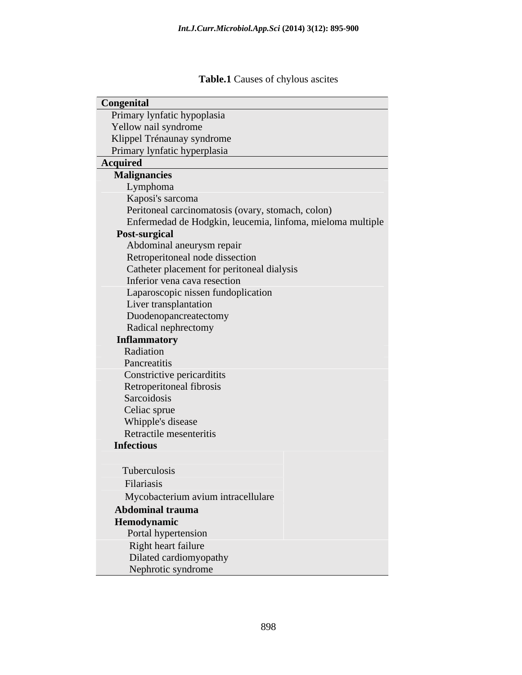# **Table.1** Causes of chylous ascites

| Congenital                                                 |
|------------------------------------------------------------|
| Primary lynfatic hypoplasia                                |
| Yellow nail syndrome                                       |
| Klippel Trénaunay syndrome                                 |
| Primary lynfatic hyperplasia                               |
| <b>Acquired</b>                                            |
| <b>Malignancies</b>                                        |
| Lymphoma                                                   |
| Kaposi's sarcoma                                           |
| Peritoneal carcinomatosis (ovary, stomach, colon)          |
| Enfermedad de Hodgkin, leucemia, linfoma, mieloma multiple |
| Post-surgical                                              |
| Abdominal aneurysm repair                                  |
| Retroperitoneal node dissection                            |
| Catheter placement for peritoneal dialysis                 |
| Inferior vena cava resection                               |
| Laparoscopic nissen fundoplication                         |
| Liver transplantation                                      |
| Duodenopancreatectomy                                      |
| Radical nephrectomy                                        |
|                                                            |
| <b>Inflammatory</b>                                        |
| Radiation                                                  |
| Pancreatitis                                               |
| Constrictive pericarditits                                 |
| Retroperitoneal fibrosis                                   |
| Sarcoidosis                                                |
| Celiac sprue                                               |
| Whipple's disease                                          |
| Retractile mesenteritis                                    |
| <b>Infectious</b>                                          |
|                                                            |
| Tuberculosis                                               |
| Filariasis                                                 |
| Mycobacterium avium intracellulare                         |
| <b>Abdominal trauma</b>                                    |
| Hemodynamic                                                |
| Portal hypertension                                        |
| Right heart failure                                        |
| Dilated cardiomyopathy                                     |
| Nephrotic syndrome                                         |
|                                                            |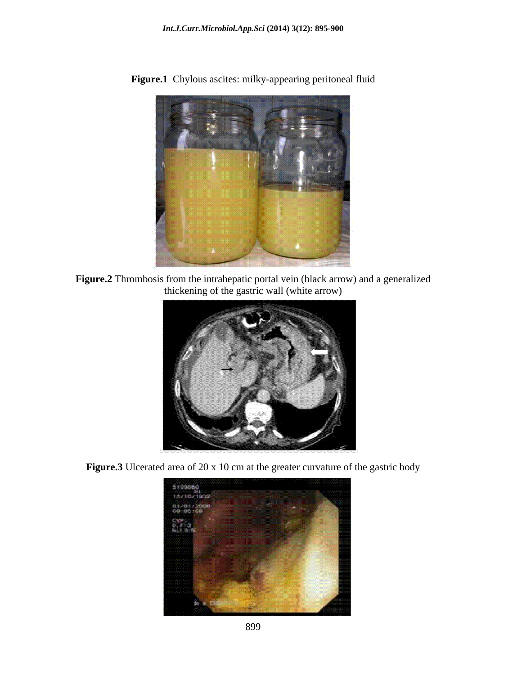

**Figure.1** Chylous ascites: milky-appearing peritoneal fluid

**Figure.2** Thrombosis from the intrahepatic portal vein (black arrow) and a generalized thickening of the gastric wall (white arrow)



Figure.3 Ulcerated area of 20 x 10 cm at the greater curvature of the gastric body